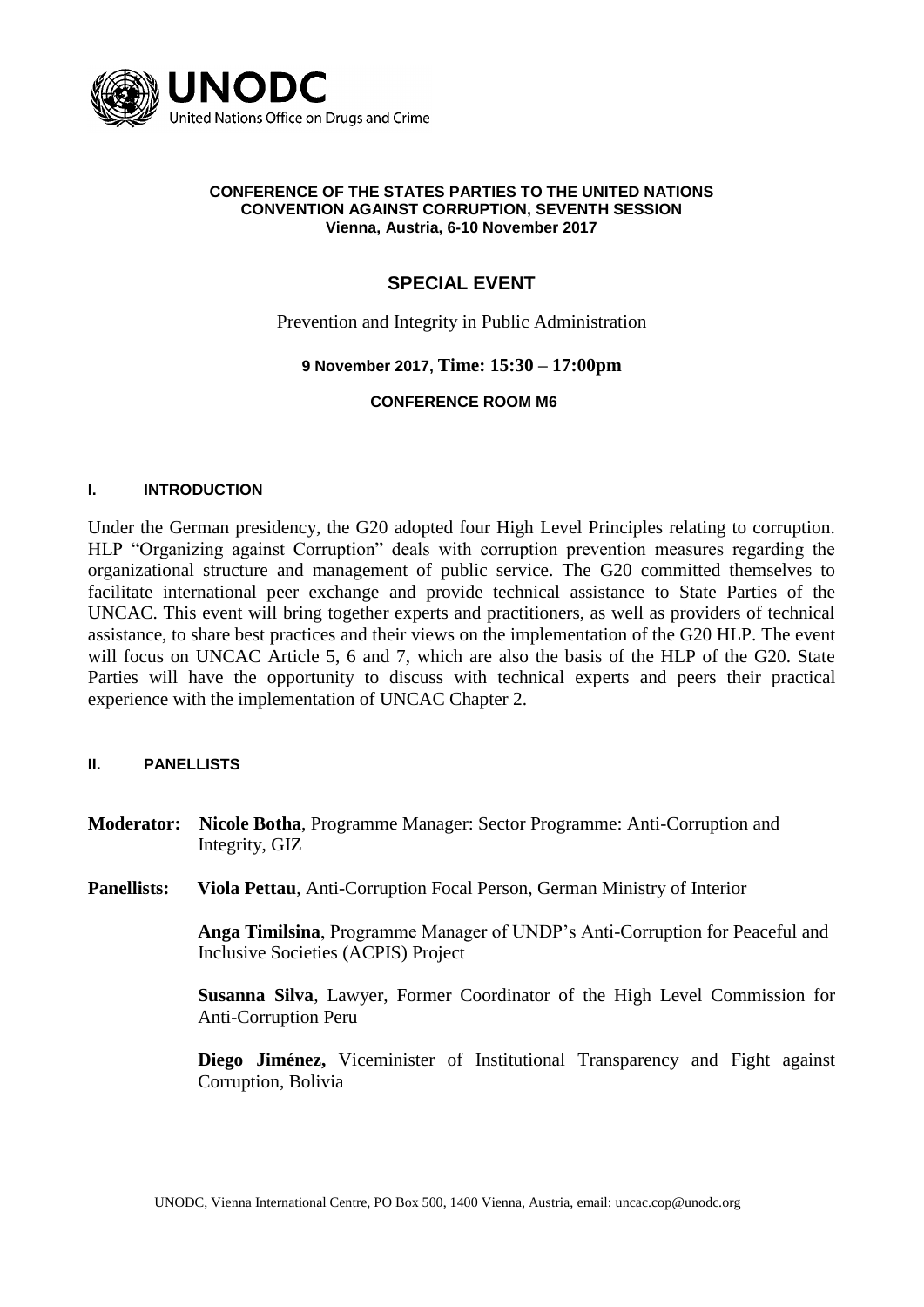

#### **CONFERENCE OF THE STATES PARTIES TO THE UNITED NATIONS CONVENTION AGAINST CORRUPTION, SEVENTH SESSION Vienna, Austria, 6-10 November 2017**

# **SPECIAL EVENT**

Prevention and Integrity in Public Administration

### **9 November 2017, Time: 15:30 – 17:00pm**

#### **CONFERENCE ROOM M6**

#### **I. INTRODUCTION**

Under the German presidency, the G20 adopted four High Level Principles relating to corruption. HLP "Organizing against Corruption" deals with corruption prevention measures regarding the organizational structure and management of public service. The G20 committed themselves to facilitate international peer exchange and provide technical assistance to State Parties of the UNCAC. This event will bring together experts and practitioners, as well as providers of technical assistance, to share best practices and their views on the implementation of the G20 HLP. The event will focus on UNCAC Article 5, 6 and 7, which are also the basis of the HLP of the G20. State Parties will have the opportunity to discuss with technical experts and peers their practical experience with the implementation of UNCAC Chapter 2.

#### **II. PANELLISTS**

- **Moderator: Nicole Botha**, Programme Manager: Sector Programme: Anti-Corruption and Integrity, GIZ
- **Panellists: Viola Pettau**, Anti-Corruption Focal Person, German Ministry of Interior

**Anga Timilsina**, Programme Manager of UNDP's Anti-Corruption for Peaceful and Inclusive Societies (ACPIS) Project

**Susanna Silva**, Lawyer, Former Coordinator of the High Level Commission for Anti-Corruption Peru

**Diego Jiménez,** Viceminister of Institutional Transparency and Fight against Corruption, Bolivia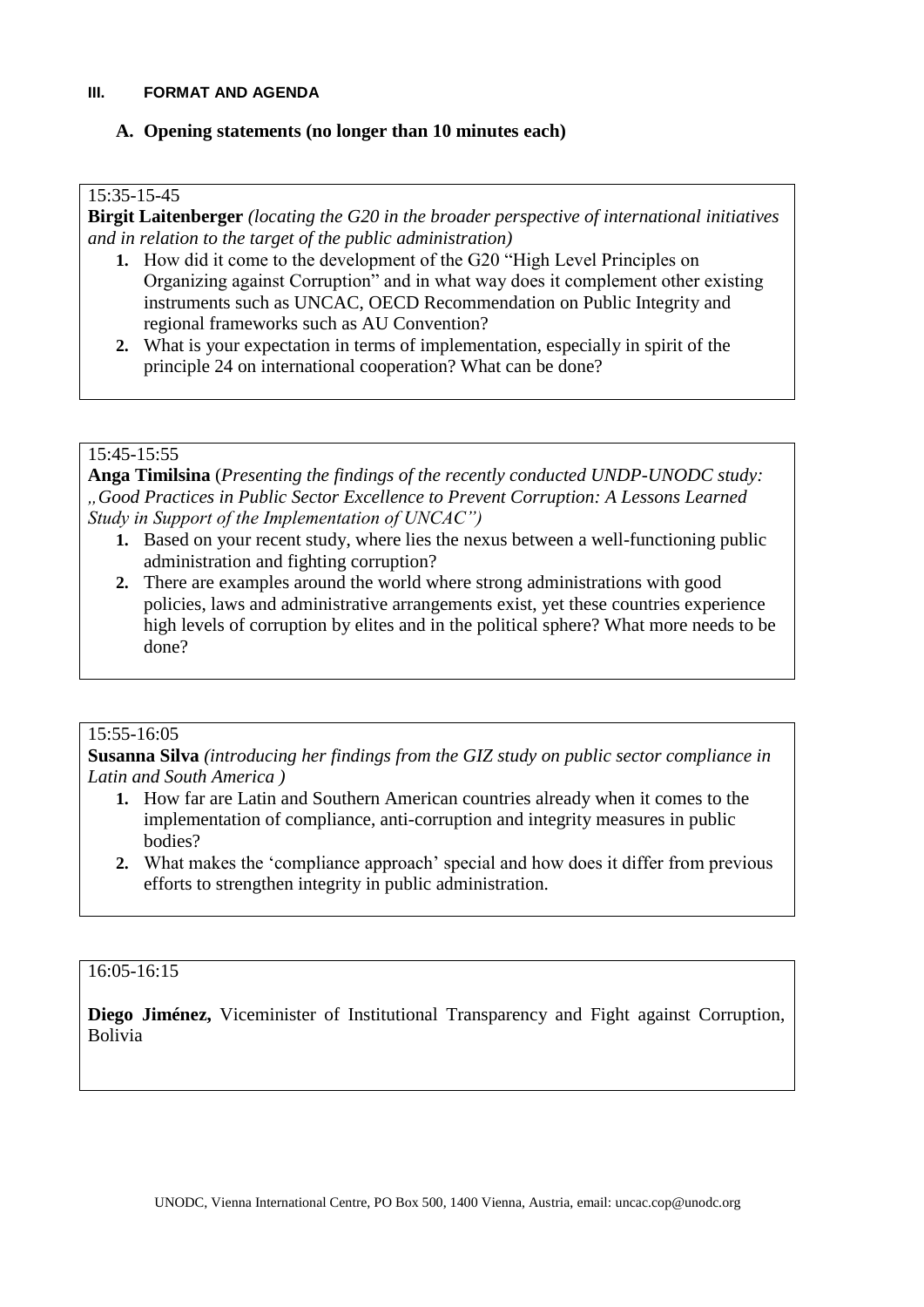### **III. FORMAT AND AGENDA**

## **A. Opening statements (no longer than 10 minutes each)**

### 15:35-15-45

**Birgit Laitenberger** *(locating the G20 in the broader perspective of international initiatives and in relation to the target of the public administration)*

- **1.** How did it come to the development of the G20 "High Level Principles on Organizing against Corruption" and in what way does it complement other existing instruments such as UNCAC, OECD Recommendation on Public Integrity and regional frameworks such as AU Convention?
- **2.** What is your expectation in terms of implementation, especially in spirit of the principle 24 on international cooperation? What can be done?

## 15:45-15:55

**Anga Timilsina** (*Presenting the findings of the recently conducted UNDP-UNODC study: "Good Practices in Public Sector Excellence to Prevent Corruption: A Lessons Learned Study in Support of the Implementation of UNCAC")*

- **1.** Based on your recent study, where lies the nexus between a well-functioning public administration and fighting corruption?
- **2.** There are examples around the world where strong administrations with good policies, laws and administrative arrangements exist, yet these countries experience high levels of corruption by elites and in the political sphere? What more needs to be done?

#### 15:55-16:05

**Susanna Silva** *(introducing her findings from the GIZ study on public sector compliance in Latin and South America )*

- **1.** How far are Latin and Southern American countries already when it comes to the implementation of compliance, anti-corruption and integrity measures in public bodies?
- **2.** What makes the 'compliance approach' special and how does it differ from previous efforts to strengthen integrity in public administration.

## 16:05-16:15

**Diego Jiménez,** Viceminister of Institutional Transparency and Fight against Corruption, Bolivia